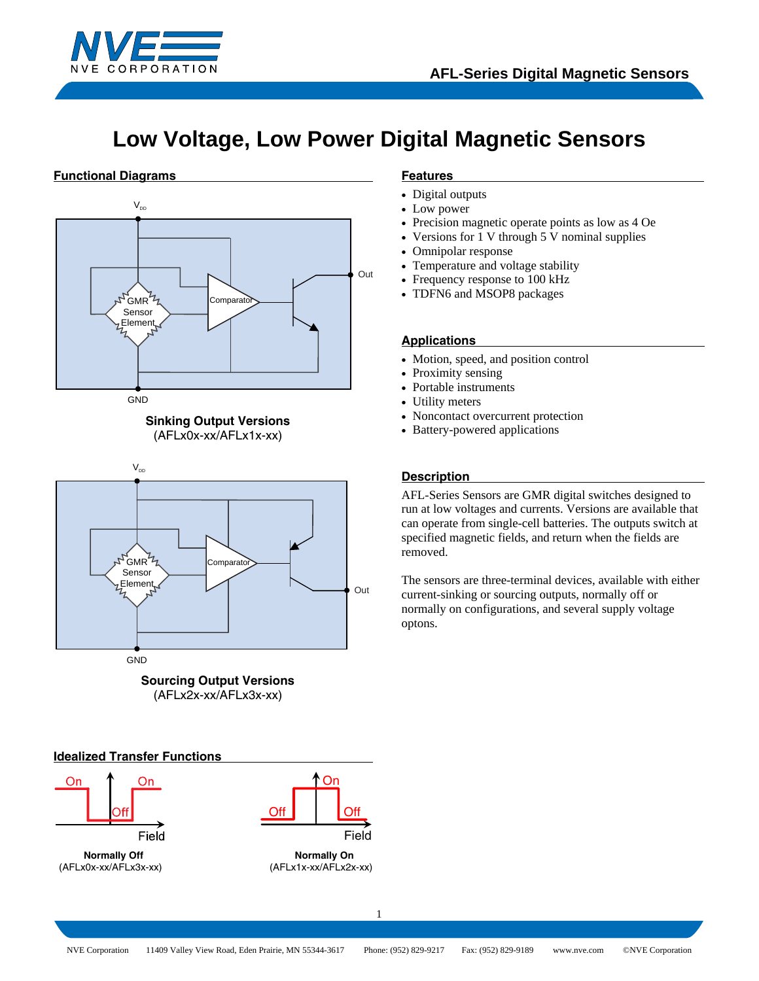

# **Low Voltage, Low Power Digital Magnetic Sensors**

## **Functional Diagrams**









### **Idealized Transfer Functions**





### **Features**

- Digital outputs
- Low power
- Precision magnetic operate points as low as 4 Oe
- Versions for 1 V through 5 V nominal supplies
- Omnipolar response
- Temperature and voltage stability
- Frequency response to 100 kHz
- TDFN6 and MSOP8 packages

### **Applications**

- Motion, speed, and position control
- Proximity sensing
- Portable instruments
- Utility meters
- Noncontact overcurrent protection
- Battery-powered applications

### **Description**

AFL-Series Sensors are GMR digital switches designed to run at low voltages and currents. Versions are available that can operate from single-cell batteries. The outputs switch at specified magnetic fields, and return when the fields are removed.

The sensors are three-terminal devices, available with either current-sinking or sourcing outputs, normally off or normally on configurations, and several supply voltage optons.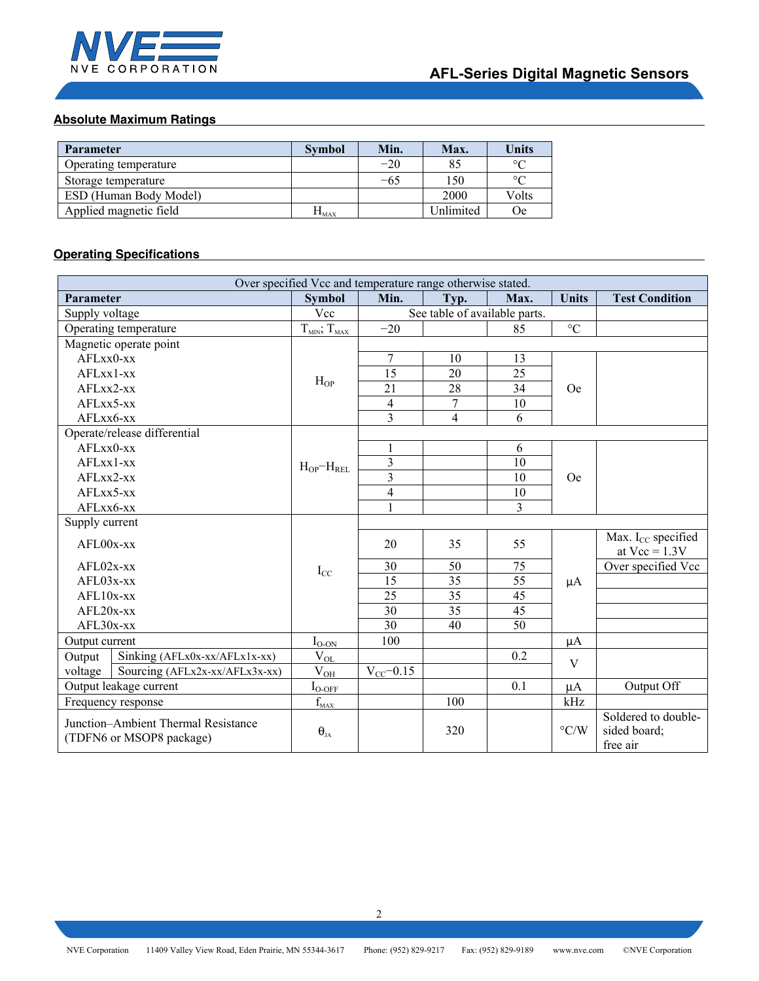

# **Absolute Maximum Ratings**

| <b>Parameter</b>       | <b>Symbol</b>   | Min.  | Max.      | <b>Units</b> |
|------------------------|-----------------|-------|-----------|--------------|
| Operating temperature  |                 | $-20$ | 85        | $\circ$      |
| Storage temperature    |                 | -65   | 150       | $\circ$      |
| ESD (Human Body Model) |                 |       | 2000      | Volts        |
| Applied magnetic field | $\Pi_{\rm MAX}$ |       | Unlimited | 0e           |

# **Operating Specifications**

| Over specified Vcc and temperature range otherwise stated.      |                       |                               |                 |                |                    |                                                 |
|-----------------------------------------------------------------|-----------------------|-------------------------------|-----------------|----------------|--------------------|-------------------------------------------------|
| Parameter                                                       | <b>Symbol</b>         | Min.                          | Typ.            | Max.           | <b>Units</b>       | <b>Test Condition</b>                           |
| Supply voltage                                                  | Vcc                   | See table of available parts. |                 |                |                    |                                                 |
| Operating temperature                                           | $T_{MIN}$ ; $T_{MAX}$ | $-20$                         |                 | 85             | $\rm ^{\circ}C$    |                                                 |
| Magnetic operate point                                          |                       |                               |                 |                |                    |                                                 |
| AFLxx0-xx                                                       |                       | $\overline{7}$                | 10              | 13             |                    |                                                 |
| $AFLxx1$ -xx                                                    |                       | 15                            | 20              | 25             |                    |                                                 |
| $AFLxx2$ -xx                                                    | $H_{OP}$              | 21                            | 28              | 34             | Oe <sup>1</sup>    |                                                 |
| AFLxx5-xx                                                       |                       | $\overline{4}$                | $\overline{7}$  | 10             |                    |                                                 |
| AFLxx6-xx                                                       |                       | $\overline{\mathbf{3}}$       | $\overline{4}$  | 6              |                    |                                                 |
| Operate/release differential                                    |                       |                               |                 |                |                    |                                                 |
| AFLxx0-xx                                                       |                       | $\mathbf{1}$                  |                 | 6              |                    |                                                 |
| $AFLxx1$ -xx                                                    | $H_{OP}-H_{REL}$      | $\overline{\mathbf{3}}$       |                 | 10             |                    |                                                 |
| AFLxx2-xx                                                       |                       | $\overline{3}$                |                 | 10             | Oe <sup>1</sup>    |                                                 |
| AFLxx5-xx                                                       |                       | $\overline{4}$                |                 | 10             |                    |                                                 |
| AFLxx6-xx                                                       |                       | $\mathbf{1}$                  |                 | $\overline{3}$ |                    |                                                 |
| Supply current                                                  |                       |                               |                 |                |                    |                                                 |
| AFL00x-xx                                                       |                       | 20                            | 35              | 55             | $\mu A$            | Max. $I_{CC}$ specified<br>at $Vec = 1.3V$      |
| $AFL02x$ -xx                                                    | $I_{CC}$              | 30                            | 50              | 75             |                    | Over specified Vcc                              |
| AFL03x-xx                                                       |                       | 15                            | $\overline{35}$ | 55             |                    |                                                 |
| $AFL10x$ -xx                                                    |                       | 25                            | 35              | 45             |                    |                                                 |
| $AFL20x$ -xx                                                    |                       | 30                            | 35              | 45             |                    |                                                 |
| AFL30x-xx                                                       |                       | 30                            | 40              | 50             |                    |                                                 |
| Output current                                                  | $I_{O-ON}$            | 100                           |                 |                | $\mu A$            |                                                 |
| Sinking (AFLx0x-xx/AFLx1x-xx)<br>Output                         | $V_{OL}$              |                               |                 | 0.2            | V                  |                                                 |
| voltage<br>Sourcing (AFLx2x-xx/AFLx3x-xx)                       | $\rm V_{\rm OH}$      | $V_{CC}$ -0.15                |                 |                |                    |                                                 |
| Output leakage current                                          | $I_{O-OFF}$           |                               |                 | 0.1            | $\mu A$            | Output Off                                      |
| Frequency response                                              | $\rm f_{\rm MAX}$     |                               | 100             |                | kHz                |                                                 |
| Junction-Ambient Thermal Resistance<br>(TDFN6 or MSOP8 package) | $\theta_{JA}$         |                               | 320             |                | $\rm ^{\circ} C/W$ | Soldered to double-<br>sided board;<br>free air |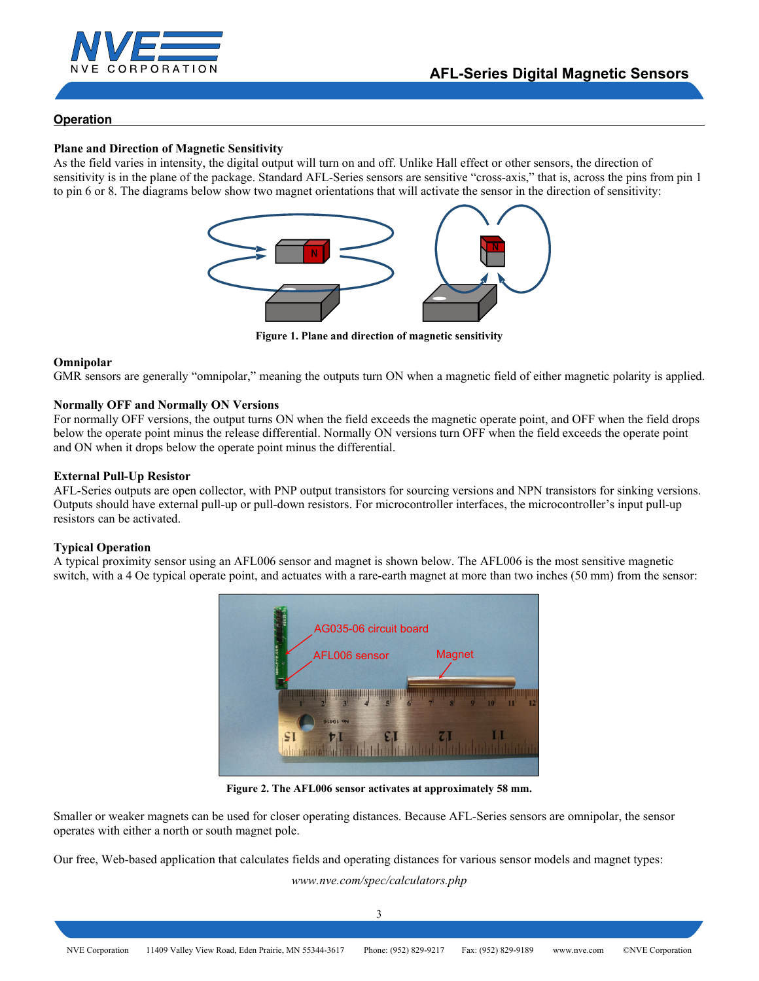

# **Operation**

### **Plane and Direction of Magnetic Sensitivity**

As the field varies in intensity, the digital output will turn on and off. Unlike Hall effect or other sensors, the direction of sensitivity is in the plane of the package. Standard AFL-Series sensors are sensitive "cross-axis," that is, across the pins from pin 1 to pin 6 or 8. The diagrams below show two magnet orientations that will activate the sensor in the direction of sensitivity:



**Figure 1. Plane and direction of magnetic sensitivity** 

### **Omnipolar**

GMR sensors are generally "omnipolar," meaning the outputs turn ON when a magnetic field of either magnetic polarity is applied.

### **Normally OFF and Normally ON Versions**

For normally OFF versions, the output turns ON when the field exceeds the magnetic operate point, and OFF when the field drops below the operate point minus the release differential. Normally ON versions turn OFF when the field exceeds the operate point and ON when it drops below the operate point minus the differential.

### **External Pull-Up Resistor**

AFL-Series outputs are open collector, with PNP output transistors for sourcing versions and NPN transistors for sinking versions. Outputs should have external pull-up or pull-down resistors. For microcontroller interfaces, the microcontroller's input pull-up resistors can be activated.

### **Typical Operation**

A typical proximity sensor using an AFL006 sensor and magnet is shown below. The AFL006 is the most sensitive magnetic switch, with a 4 Oe typical operate point, and actuates with a rare-earth magnet at more than two inches (50 mm) from the sensor:



**Figure 2. The AFL006 sensor activates at approximately 58 mm.** 

Smaller or weaker magnets can be used for closer operating distances. Because AFL-Series sensors are omnipolar, the sensor operates with either a north or south magnet pole.

Our free, Web-based application that calculates fields and operating distances for various sensor models and magnet types:

*www.nve.com/spec/calculators.php*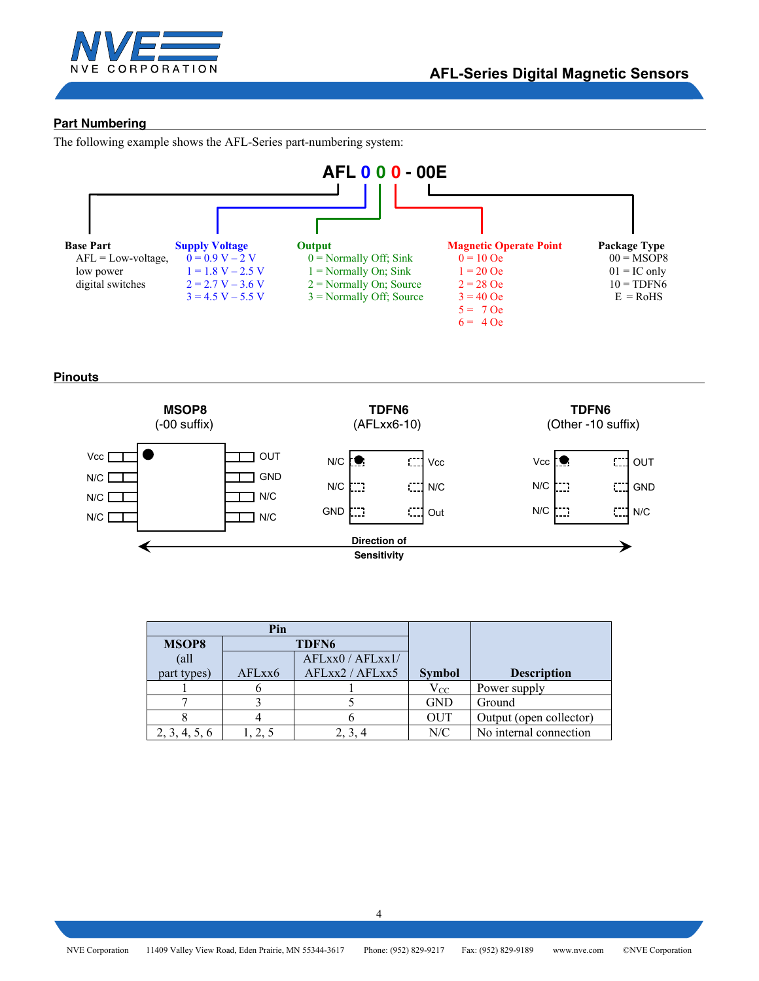

# **Part Numbering**

The following example shows the AFL-Series part-numbering system:



**Pinouts** 



| Pin           |                   |                  |               |                         |
|---------------|-------------------|------------------|---------------|-------------------------|
| <b>MSOP8</b>  | TDFN <sub>6</sub> |                  |               |                         |
| $\text{all}$  |                   | AFLxx0 / AFLxx1/ |               |                         |
| part types)   | AFLxx6            | AFLxx2 / AFLxx5  | <b>Symbol</b> | <b>Description</b>      |
|               |                   |                  | $V_{\rm CC}$  | Power supply            |
|               |                   |                  | <b>GND</b>    | Ground                  |
|               |                   |                  | <b>OUT</b>    | Output (open collector) |
| 2, 3, 4, 5, 6 |                   |                  | N/C           | No internal connection  |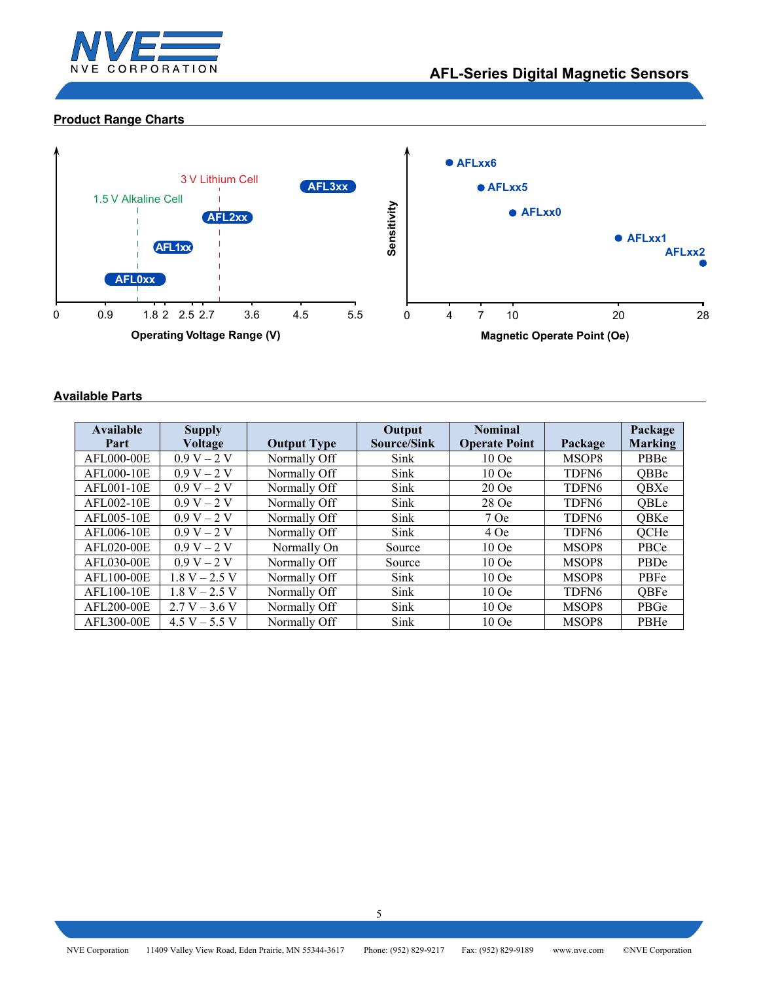

# **Product Range Charts**



# **Available Parts**

| <b>Available</b><br>Part | <b>Supply</b><br><b>Voltage</b> | <b>Output Type</b> | Output<br>Source/Sink | <b>Nominal</b><br><b>Operate Point</b> | Package           | Package<br><b>Marking</b> |
|--------------------------|---------------------------------|--------------------|-----------------------|----------------------------------------|-------------------|---------------------------|
| AFL000-00E               | $0.9 V - 2 V$                   | Normally Off       | Sink                  | $10$ Oe                                | MSOP8             | PBBe                      |
| AFL000-10E               | $0.9 V - 2 V$                   | Normally Off       | Sink                  | $10$ Oe                                | TDFN <sub>6</sub> | <b>QBBe</b>               |
| AFL001-10E               | $0.9 V - 2 V$                   | Normally Off       | Sink                  | $20$ Oe                                | TDFN <sub>6</sub> | <b>QBXe</b>               |
| AFL002-10E               | $0.9 V - 2 V$                   | Normally Off       | Sink                  | 28 Oe                                  | TDFN <sub>6</sub> | <b>QBLe</b>               |
| AFL005-10E               | $0.9 V - 2 V$                   | Normally Off       | Sink                  | 7 Oe                                   | TDFN <sub>6</sub> | QBKe                      |
| AFL006-10E               | $0.9 V - 2 V$                   | Normally Off       | Sink                  | 4 Oe                                   | TDFN <sub>6</sub> | QCHe                      |
| AFL020-00E               | $0.9 V - 2 V$                   | Normally On        | Source                | $10$ Oe                                | MSOP8             | PBCe                      |
| AFL030-00E               | $0.9 V - 2 V$                   | Normally Off       | Source                | $10$ Oe                                | MSOP8             | PBDe                      |
| AFL100-00E               | $1.8 V - 2.5 V$                 | Normally Off       | Sink                  | $10$ Oe                                | MSOP8             | <b>PBFe</b>               |
| AFL100-10E               | $1.8 V - 2.5 V$                 | Normally Off       | Sink                  | $10$ Oe                                | TDFN <sub>6</sub> | OBFe                      |
| AFL200-00E               | $2.7 V - 3.6 V$                 | Normally Off       | Sink                  | $10$ Oe                                | MSOP8             | PBGe                      |
| AFL300-00E               | $4.5 V - 5.5 V$                 | Normally Off       | Sink                  | $10$ Oe                                | MSOP8             | PBHe                      |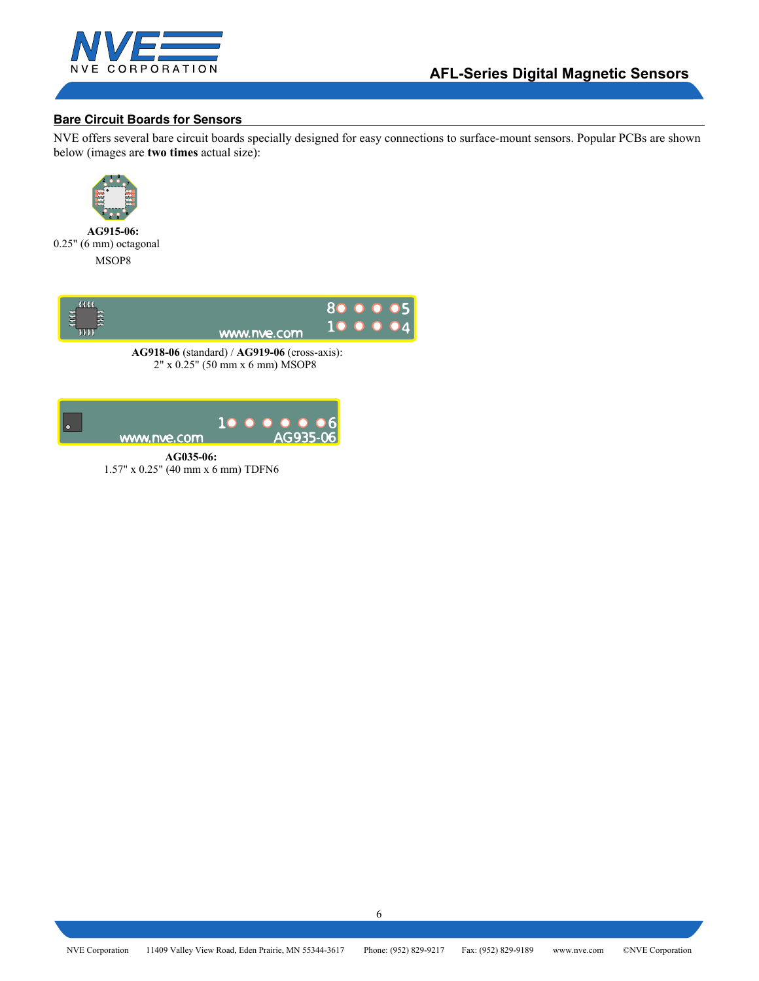

# **Bare Circuit Boards for Sensors**

NVE offers several bare circuit boards specially designed for easy connections to surface-mount sensors. Popular PCBs are shown below (images are **two times** actual size):



 **AG915-06:** 0.25" (6 mm) octagonal MSOP8



 **AG918-06** (standard) / **AG919-06** (cross-axis): 2" x 0.25" (50 mm x 6 mm) MSOP8



 **AG035-06:** 1.57" x 0.25" (40 mm x 6 mm) TDFN6

6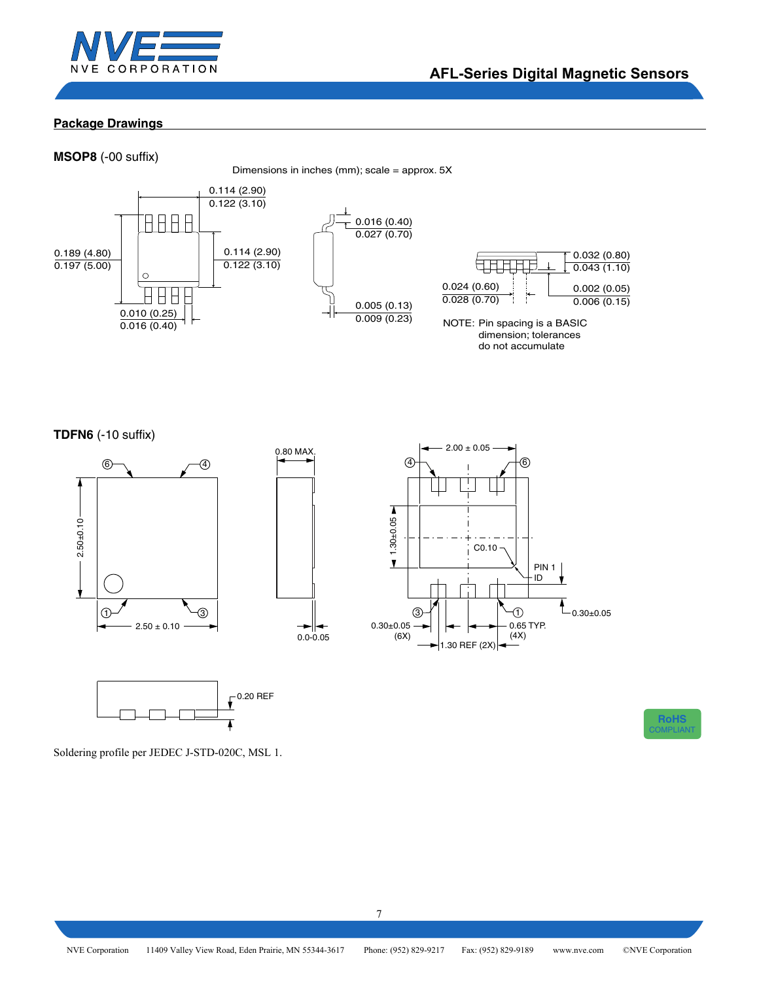

# **Package Drawings**

**MSOP8** (-00 suffix)

Dimensions in inches (mm); scale = approx. 5X



**TDFN6** (-10 suffix)





**RoHS** COMPLIANT

Soldering profile per JEDEC J-STD-020C, MSL 1.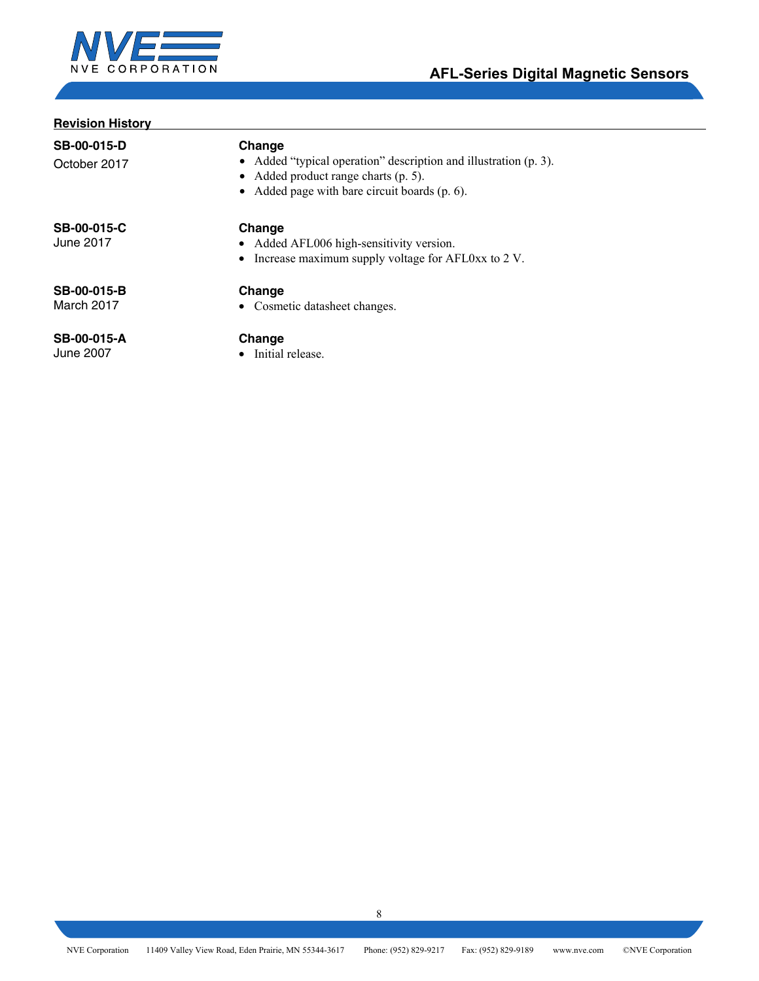

# **Revision History**

**SB-00-015-D**  October 2017

# **Change**

- Added "typical operation" description and illustration (p. 3).
- Added product range charts (p. 5).
- Added page with bare circuit boards (p. 6).

**SB-00-015-C**  June 2017

# **Change**

- Added AFL006 high-sensitivity version.
	- Increase maximum supply voltage for AFL0xx to 2 V.

**SB-00-015-B**  March 2017

# **Change**

• Cosmetic datasheet changes.

### **SB-00-015-A**  June 2007

# **Change**

• Initial release.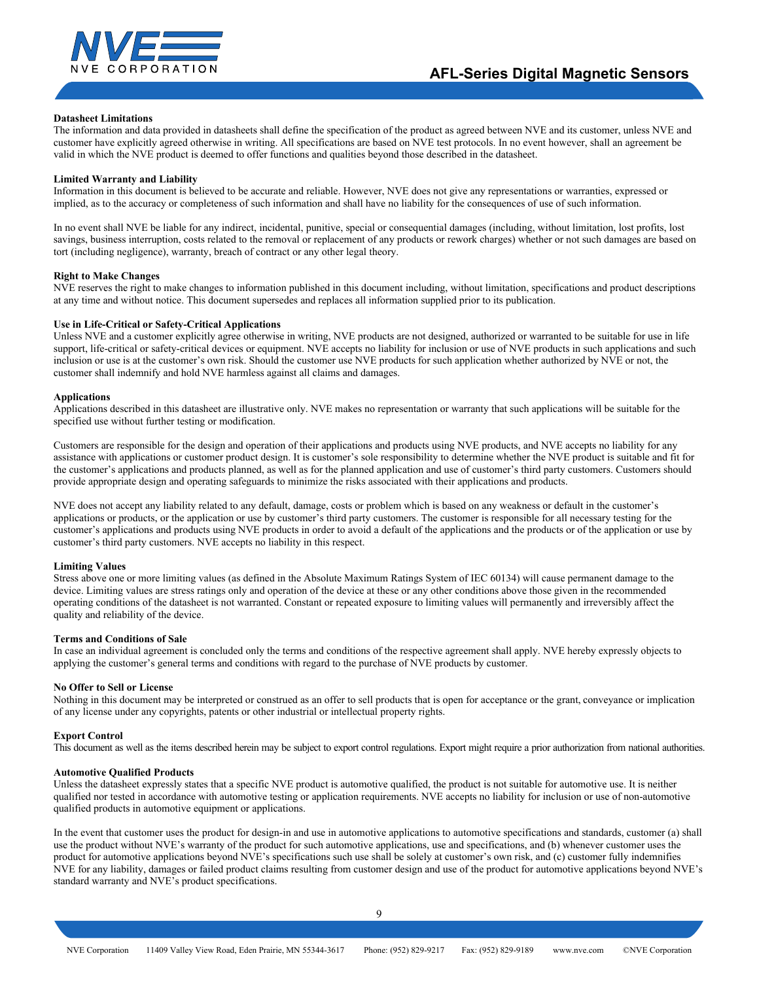

#### **Datasheet Limitations**

The information and data provided in datasheets shall define the specification of the product as agreed between NVE and its customer, unless NVE and customer have explicitly agreed otherwise in writing. All specifications are based on NVE test protocols. In no event however, shall an agreement be valid in which the NVE product is deemed to offer functions and qualities beyond those described in the datasheet.

#### **Limited Warranty and Liability**

Information in this document is believed to be accurate and reliable. However, NVE does not give any representations or warranties, expressed or implied, as to the accuracy or completeness of such information and shall have no liability for the consequences of use of such information.

In no event shall NVE be liable for any indirect, incidental, punitive, special or consequential damages (including, without limitation, lost profits, lost savings, business interruption, costs related to the removal or replacement of any products or rework charges) whether or not such damages are based on tort (including negligence), warranty, breach of contract or any other legal theory.

#### **Right to Make Changes**

NVE reserves the right to make changes to information published in this document including, without limitation, specifications and product descriptions at any time and without notice. This document supersedes and replaces all information supplied prior to its publication.

#### **Use in Life-Critical or Safety-Critical Applications**

Unless NVE and a customer explicitly agree otherwise in writing, NVE products are not designed, authorized or warranted to be suitable for use in life support, life-critical or safety-critical devices or equipment. NVE accepts no liability for inclusion or use of NVE products in such applications and such inclusion or use is at the customer's own risk. Should the customer use NVE products for such application whether authorized by NVE or not, the customer shall indemnify and hold NVE harmless against all claims and damages.

#### **Applications**

Applications described in this datasheet are illustrative only. NVE makes no representation or warranty that such applications will be suitable for the specified use without further testing or modification.

Customers are responsible for the design and operation of their applications and products using NVE products, and NVE accepts no liability for any assistance with applications or customer product design. It is customer's sole responsibility to determine whether the NVE product is suitable and fit for the customer's applications and products planned, as well as for the planned application and use of customer's third party customers. Customers should provide appropriate design and operating safeguards to minimize the risks associated with their applications and products.

NVE does not accept any liability related to any default, damage, costs or problem which is based on any weakness or default in the customer's applications or products, or the application or use by customer's third party customers. The customer is responsible for all necessary testing for the customer's applications and products using NVE products in order to avoid a default of the applications and the products or of the application or use by customer's third party customers. NVE accepts no liability in this respect.

#### **Limiting Values**

Stress above one or more limiting values (as defined in the Absolute Maximum Ratings System of IEC 60134) will cause permanent damage to the device. Limiting values are stress ratings only and operation of the device at these or any other conditions above those given in the recommended operating conditions of the datasheet is not warranted. Constant or repeated exposure to limiting values will permanently and irreversibly affect the quality and reliability of the device.

#### **Terms and Conditions of Sale**

In case an individual agreement is concluded only the terms and conditions of the respective agreement shall apply. NVE hereby expressly objects to applying the customer's general terms and conditions with regard to the purchase of NVE products by customer.

#### **No Offer to Sell or License**

Nothing in this document may be interpreted or construed as an offer to sell products that is open for acceptance or the grant, conveyance or implication of any license under any copyrights, patents or other industrial or intellectual property rights.

#### **Export Control**

This document as well as the items described herein may be subject to export control regulations. Export might require a prior authorization from national authorities.

#### **Automotive Qualified Products**

Unless the datasheet expressly states that a specific NVE product is automotive qualified, the product is not suitable for automotive use. It is neither qualified nor tested in accordance with automotive testing or application requirements. NVE accepts no liability for inclusion or use of non-automotive qualified products in automotive equipment or applications.

In the event that customer uses the product for design-in and use in automotive applications to automotive specifications and standards, customer (a) shall use the product without NVE's warranty of the product for such automotive applications, use and specifications, and (b) whenever customer uses the product for automotive applications beyond NVE's specifications such use shall be solely at customer's own risk, and (c) customer fully indemnifies NVE for any liability, damages or failed product claims resulting from customer design and use of the product for automotive applications beyond NVE's standard warranty and NVE's product specifications.